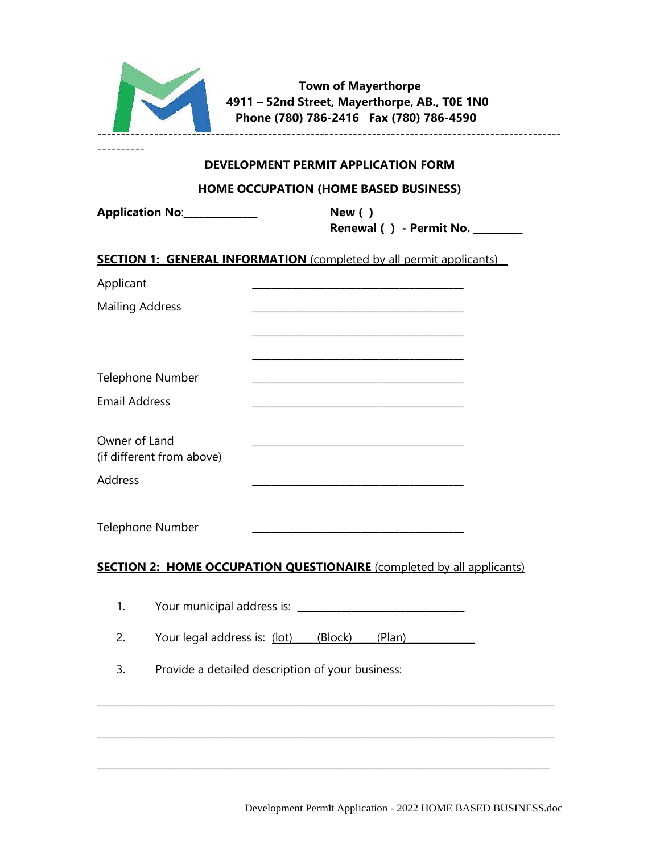

----------

 **Town of Mayerthorpe 4911 – 52nd Street, Mayerthorpe, AB., T0E 1N0 Phone (780) 786-2416 Fax (780) 786-4590** --------------------------------------------------------------------------------------------------

## **DEVELOPMENT PERMIT APPLICATION FORM**

#### **HOME OCCUPATION (HOME BASED BUSINESS)**

| Application No:__                                                          | New ( )<br>Renewal () - Permit No. |
|----------------------------------------------------------------------------|------------------------------------|
| <b>SECTION 1: GENERAL INFORMATION</b> (completed by all permit applicants) |                                    |

| Applicant              | the control of the control of the control of the control of the control of                           |
|------------------------|------------------------------------------------------------------------------------------------------|
| <b>Mailing Address</b> | <u> 1989 - Johann Barn, mars eta bat eta bat eta bat eta bat ez arteko erroman ez arteko hamarka</u> |
|                        |                                                                                                      |
|                        |                                                                                                      |
|                        | Telephone Number                                                                                     |
| <b>Email Address</b>   |                                                                                                      |
|                        |                                                                                                      |
| Owner of Land          | (if different from above)                                                                            |
| Address                |                                                                                                      |
|                        |                                                                                                      |
|                        | Telephone Number                                                                                     |
|                        | <b>SECTION 2: HOME OCCUPATION QUESTIONAIRE</b> (completed by all applicants)                         |
|                        |                                                                                                      |
| 1.                     |                                                                                                      |
| 2.                     | Your legal address is: (lot) (Block)<br>(Plan)                                                       |
| 3.                     | Provide a detailed description of your business:                                                     |
|                        |                                                                                                      |
|                        |                                                                                                      |
|                        |                                                                                                      |

\_\_\_\_\_\_\_\_\_\_\_\_\_\_\_\_\_\_\_\_\_\_\_\_\_\_\_\_\_\_\_\_\_\_\_\_\_\_\_\_\_\_\_\_\_\_\_\_\_\_\_\_\_\_\_\_\_\_\_\_\_\_\_\_\_\_\_\_\_\_\_\_\_\_\_\_\_\_\_\_\_\_\_\_\_\_\_\_\_\_\_\_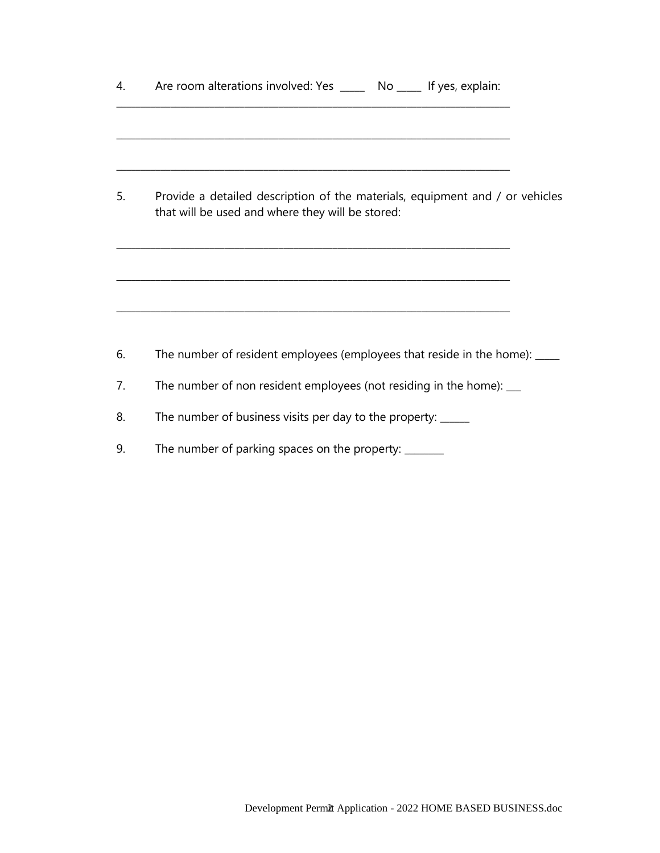| 4. | Are room alterations involved: Yes ______ No _____ If yes, explain:                                                              |
|----|----------------------------------------------------------------------------------------------------------------------------------|
|    |                                                                                                                                  |
| 5. | Provide a detailed description of the materials, equipment and / or vehicles<br>that will be used and where they will be stored: |
|    |                                                                                                                                  |
| 6. | The number of resident employees (employees that reside in the home): ____                                                       |
| 7. | The number of non resident employees (not residing in the home): __                                                              |
| 8. | The number of business visits per day to the property: _____                                                                     |
| 9. | The number of parking spaces on the property: _______                                                                            |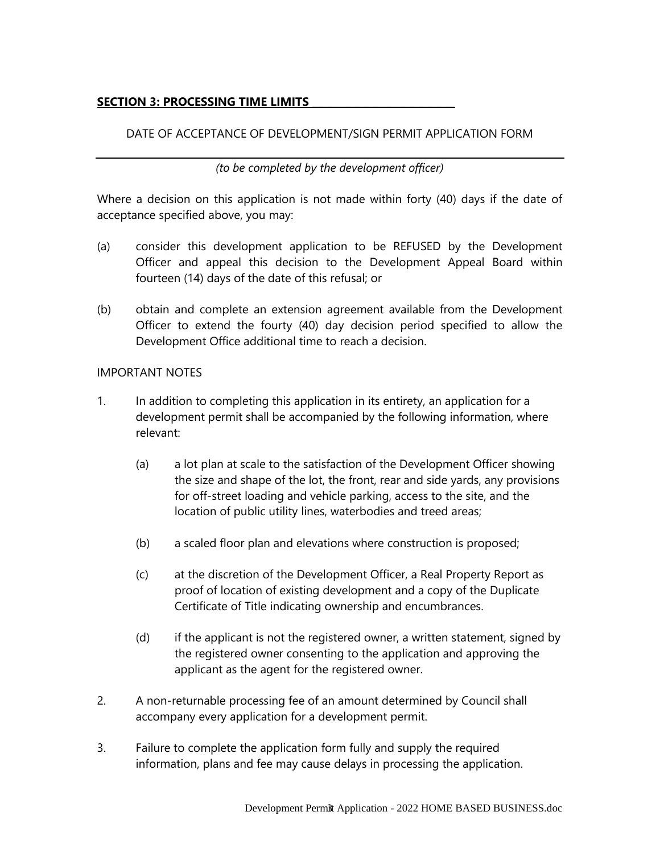# **SECTION 3: PROCESSING TIME LIMITS**

# DATE OF ACCEPTANCE OF DEVELOPMENT/SIGN PERMIT APPLICATION FORM

*(to be completed by the development officer)*

Where a decision on this application is not made within forty (40) days if the date of acceptance specified above, you may:

- (a) consider this development application to be REFUSED by the Development Officer and appeal this decision to the Development Appeal Board within fourteen (14) days of the date of this refusal; or
- (b) obtain and complete an extension agreement available from the Development Officer to extend the fourty (40) day decision period specified to allow the Development Office additional time to reach a decision.

## IMPORTANT NOTES

- 1. In addition to completing this application in its entirety, an application for a development permit shall be accompanied by the following information, where relevant:
	- (a) a lot plan at scale to the satisfaction of the Development Officer showing the size and shape of the lot, the front, rear and side yards, any provisions for off-street loading and vehicle parking, access to the site, and the location of public utility lines, waterbodies and treed areas;
	- (b) a scaled floor plan and elevations where construction is proposed;
	- (c) at the discretion of the Development Officer, a Real Property Report as proof of location of existing development and a copy of the Duplicate Certificate of Title indicating ownership and encumbrances.
	- (d) if the applicant is not the registered owner, a written statement, signed by the registered owner consenting to the application and approving the applicant as the agent for the registered owner.
- 2. A non-returnable processing fee of an amount determined by Council shall accompany every application for a development permit.
- 3. Failure to complete the application form fully and supply the required information, plans and fee may cause delays in processing the application.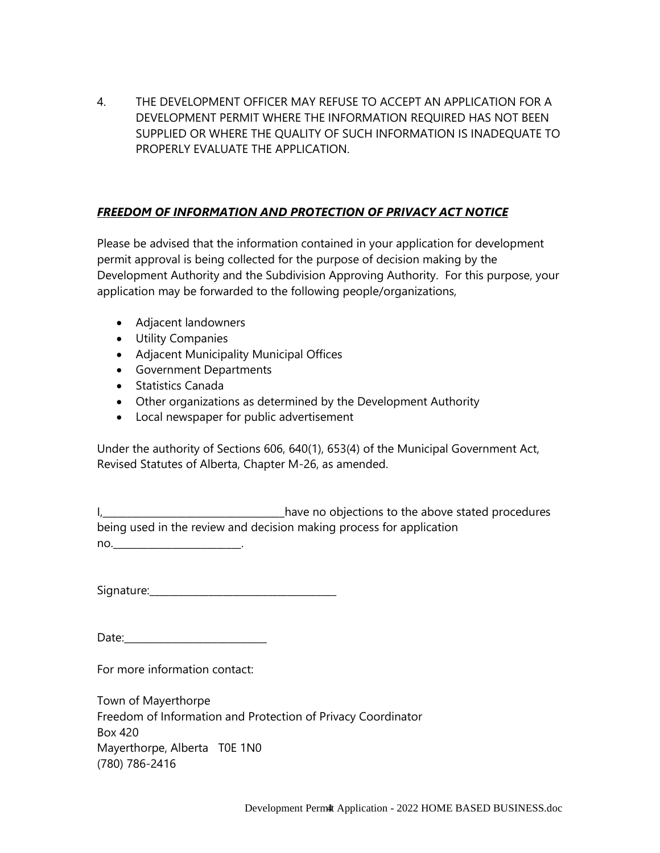4. THE DEVELOPMENT OFFICER MAY REFUSE TO ACCEPT AN APPLICATION FOR A DEVELOPMENT PERMIT WHERE THE INFORMATION REQUIRED HAS NOT BEEN SUPPLIED OR WHERE THE QUALITY OF SUCH INFORMATION IS INADEQUATE TO PROPERLY EVALUATE THE APPLICATION.

## *FREEDOM OF INFORMATION AND PROTECTION OF PRIVACY ACT NOTICE*

Please be advised that the information contained in your application for development permit approval is being collected for the purpose of decision making by the Development Authority and the Subdivision Approving Authority. For this purpose, your application may be forwarded to the following people/organizations,

- Adjacent landowners
- Utility Companies
- Adjacent Municipality Municipal Offices
- Government Departments
- Statistics Canada
- Other organizations as determined by the Development Authority
- Local newspaper for public advertisement

Under the authority of Sections 606, 640(1), 653(4) of the Municipal Government Act, Revised Statutes of Alberta, Chapter M-26, as amended.

|     | have no objections to the above stated procedures                    |
|-----|----------------------------------------------------------------------|
|     | being used in the review and decision making process for application |
| no. |                                                                      |

Signature:\_\_\_\_\_\_\_\_\_\_\_\_\_\_\_\_\_\_\_\_\_\_\_\_\_\_\_\_\_\_\_\_\_\_\_\_\_\_

Date:\_\_\_\_\_\_\_\_\_\_\_\_\_\_\_\_\_\_\_\_\_\_\_\_\_\_\_\_\_

For more information contact:

Town of Mayerthorpe Freedom of Information and Protection of Privacy Coordinator Box 420 Mayerthorpe, Alberta T0E 1N0 (780) 786-2416